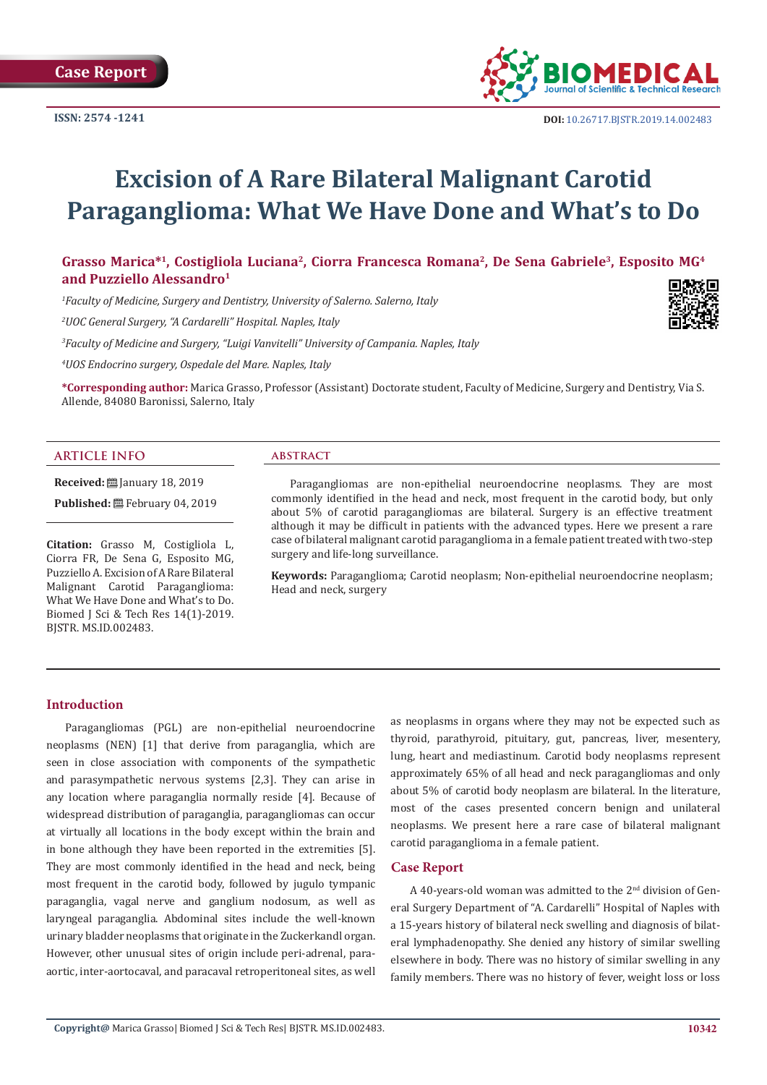

# **Excision of A Rare Bilateral Malignant Carotid Paraganglioma: What We Have Done and What's to Do**

**Grasso Marica\*1, Costigliola Luciana2, Ciorra Francesca Romana2, De Sena Gabriele3, Esposito MG4 and Puzziello Alessandro1**

*1 Faculty of Medicine, Surgery and Dentistry, University of Salerno. Salerno, Italy*

*2 UOC General Surgery, "A Cardarelli" Hospital. Naples, Italy*

*3 Faculty of Medicine and Surgery, "Luigi Vanvitelli" University of Campania. Naples, Italy*

*4 UOS Endocrino surgery, Ospedale del Mare. Naples, Italy*

**\*Corresponding author:** Marica Grasso, Professor (Assistant) Doctorate student, Faculty of Medicine, Surgery and Dentistry, Via S. Allende, 84080 Baronissi, Salerno, Italy

#### **ARTICLE INFO**

**Received:** [2019] **Published:** February 04, 2019

**Citation:** Grasso M, Costigliola L, Ciorra FR, De Sena G, Esposito MG, Puzziello A.Excision of A Rare Bilateral Malignant Carotid Paraganglioma: What We Have Done and What's to Do. Biomed J Sci & Tech Res 14(1)-2019. BJSTR. MS.ID.002483.

## **abstract**

Paragangliomas are non-epithelial neuroendocrine neoplasms. They are most commonly identified in the head and neck, most frequent in the carotid body, but only about 5% of carotid paragangliomas are bilateral. Surgery is an effective treatment although it may be difficult in patients with the advanced types. Here we present a rare case of bilateral malignant carotid paraganglioma in a female patient treated with two-step surgery and life-long surveillance.

**Keywords:** Paraganglioma; Carotid neoplasm; Non-epithelial neuroendocrine neoplasm; Head and neck, surgery

#### **Introduction**

Paragangliomas (PGL) are non-epithelial neuroendocrine neoplasms (NEN) [1] that derive from paraganglia, which are seen in close association with components of the sympathetic and parasympathetic nervous systems [2,3]. They can arise in any location where paraganglia normally reside [4]. Because of widespread distribution of paraganglia, paragangliomas can occur at virtually all locations in the body except within the brain and in bone although they have been reported in the extremities [5]. They are most commonly identified in the head and neck, being most frequent in the carotid body, followed by jugulo tympanic paraganglia, vagal nerve and ganglium nodosum, as well as laryngeal paraganglia. Abdominal sites include the well-known urinary bladder neoplasms that originate in the Zuckerkandl organ. However, other unusual sites of origin include peri-adrenal, paraaortic, inter-aortocaval, and paracaval retroperitoneal sites, as well

as neoplasms in organs where they may not be expected such as thyroid, parathyroid, pituitary, gut, pancreas, liver, mesentery, lung, heart and mediastinum. Carotid body neoplasms represent approximately 65% of all head and neck paragangliomas and only about 5% of carotid body neoplasm are bilateral. In the literature, most of the cases presented concern benign and unilateral neoplasms. We present here a rare case of bilateral malignant carotid paraganglioma in a female patient.

### **Case Report**

A 40-years-old woman was admitted to the 2<sup>nd</sup> division of General Surgery Department of "A. Cardarelli" Hospital of Naples with a 15-years history of bilateral neck swelling and diagnosis of bilateral lymphadenopathy. She denied any history of similar swelling elsewhere in body. There was no history of similar swelling in any family members. There was no history of fever, weight loss or loss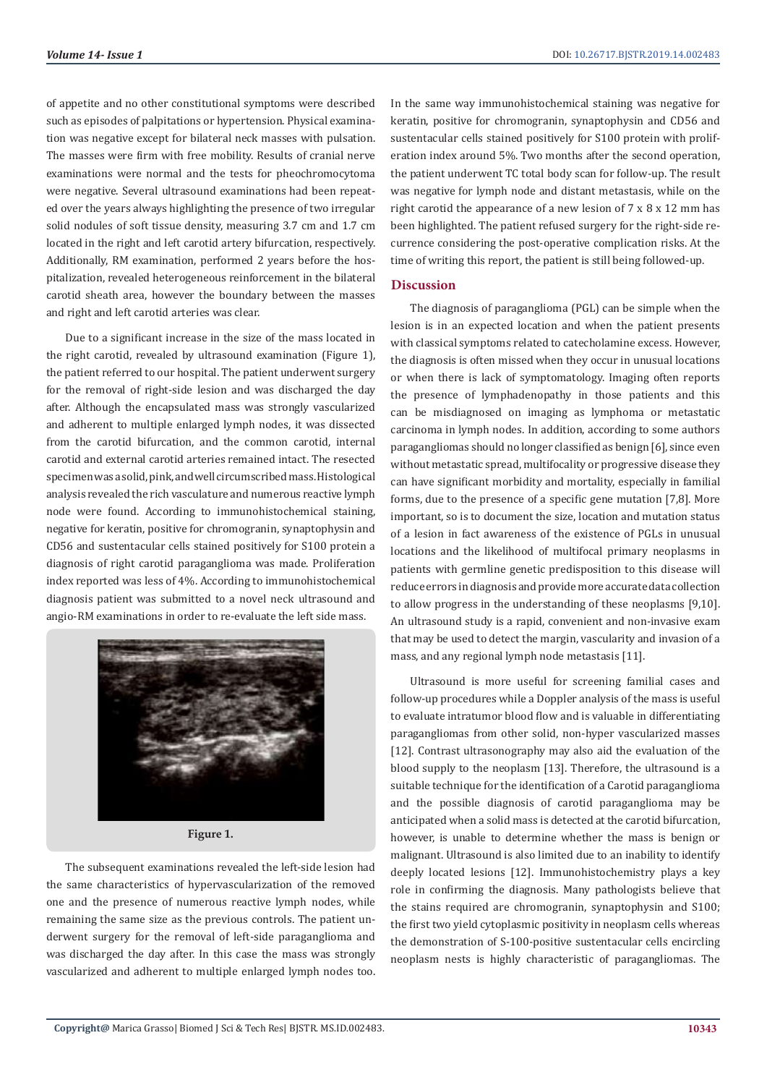of appetite and no other constitutional symptoms were described such as episodes of palpitations or hypertension. Physical examination was negative except for bilateral neck masses with pulsation. The masses were firm with free mobility. Results of cranial nerve examinations were normal and the tests for pheochromocytoma were negative. Several ultrasound examinations had been repeated over the years always highlighting the presence of two irregular solid nodules of soft tissue density, measuring 3.7 cm and 1.7 cm located in the right and left carotid artery bifurcation, respectively. Additionally, RM examination, performed 2 years before the hospitalization, revealed heterogeneous reinforcement in the bilateral carotid sheath area, however the boundary between the masses and right and left carotid arteries was clear.

Due to a significant increase in the size of the mass located in the right carotid, revealed by ultrasound examination (Figure 1), the patient referred to our hospital. The patient underwent surgery for the removal of right-side lesion and was discharged the day after. Although the encapsulated mass was strongly vascularized and adherent to multiple enlarged lymph nodes, it was dissected from the carotid bifurcation, and the common carotid, internal carotid and external carotid arteries remained intact. The resected specimen was a solid, pink, and well circumscribed mass. Histological analysis revealed the rich vasculature and numerous reactive lymph node were found. According to immunohistochemical staining, negative for keratin, positive for chromogranin, synaptophysin and CD56 and sustentacular cells stained positively for S100 protein a diagnosis of right carotid paraganglioma was made. Proliferation index reported was less of 4%. According to immunohistochemical diagnosis patient was submitted to a novel neck ultrasound and angio-RM examinations in order to re-evaluate the left side mass.



**Figure 1.**

The subsequent examinations revealed the left-side lesion had the same characteristics of hypervascularization of the removed one and the presence of numerous reactive lymph nodes, while remaining the same size as the previous controls. The patient underwent surgery for the removal of left-side paraganglioma and was discharged the day after. In this case the mass was strongly vascularized and adherent to multiple enlarged lymph nodes too.

In the same way immunohistochemical staining was negative for keratin, positive for chromogranin, synaptophysin and CD56 and sustentacular cells stained positively for S100 protein with proliferation index around 5%. Two months after the second operation, the patient underwent TC total body scan for follow-up. The result was negative for lymph node and distant metastasis, while on the right carotid the appearance of a new lesion of 7 x 8 x 12 mm has been highlighted. The patient refused surgery for the right-side recurrence considering the post-operative complication risks. At the time of writing this report, the patient is still being followed-up.

#### **Discussion**

The diagnosis of paraganglioma (PGL) can be simple when the lesion is in an expected location and when the patient presents with classical symptoms related to catecholamine excess. However, the diagnosis is often missed when they occur in unusual locations or when there is lack of symptomatology. Imaging often reports the presence of lymphadenopathy in those patients and this can be misdiagnosed on imaging as lymphoma or metastatic carcinoma in lymph nodes. In addition, according to some authors paragangliomas should no longer classified as benign [6], since even without metastatic spread, multifocality or progressive disease they can have significant morbidity and mortality, especially in familial forms, due to the presence of a specific gene mutation [7,8]. More important, so is to document the size, location and mutation status of a lesion in fact awareness of the existence of PGLs in unusual locations and the likelihood of multifocal primary neoplasms in patients with germline genetic predisposition to this disease will reduce errors in diagnosis and provide more accurate data collection to allow progress in the understanding of these neoplasms [9,10]. An ultrasound study is a rapid, convenient and non-invasive exam that may be used to detect the margin, vascularity and invasion of a mass, and any regional lymph node metastasis [11].

Ultrasound is more useful for screening familial cases and follow-up procedures while a Doppler analysis of the mass is useful to evaluate intratumor blood flow and is valuable in differentiating paragangliomas from other solid, non-hyper vascularized masses [12]. Contrast ultrasonography may also aid the evaluation of the blood supply to the neoplasm [13]. Therefore, the ultrasound is a suitable technique for the identification of a Carotid paraganglioma and the possible diagnosis of carotid paraganglioma may be anticipated when a solid mass is detected at the carotid bifurcation, however, is unable to determine whether the mass is benign or malignant. Ultrasound is also limited due to an inability to identify deeply located lesions [12]. Immunohistochemistry plays a key role in confirming the diagnosis. Many pathologists believe that the stains required are chromogranin, synaptophysin and S100; the first two yield cytoplasmic positivity in neoplasm cells whereas the demonstration of S-100-positive sustentacular cells encircling neoplasm nests is highly characteristic of paragangliomas. The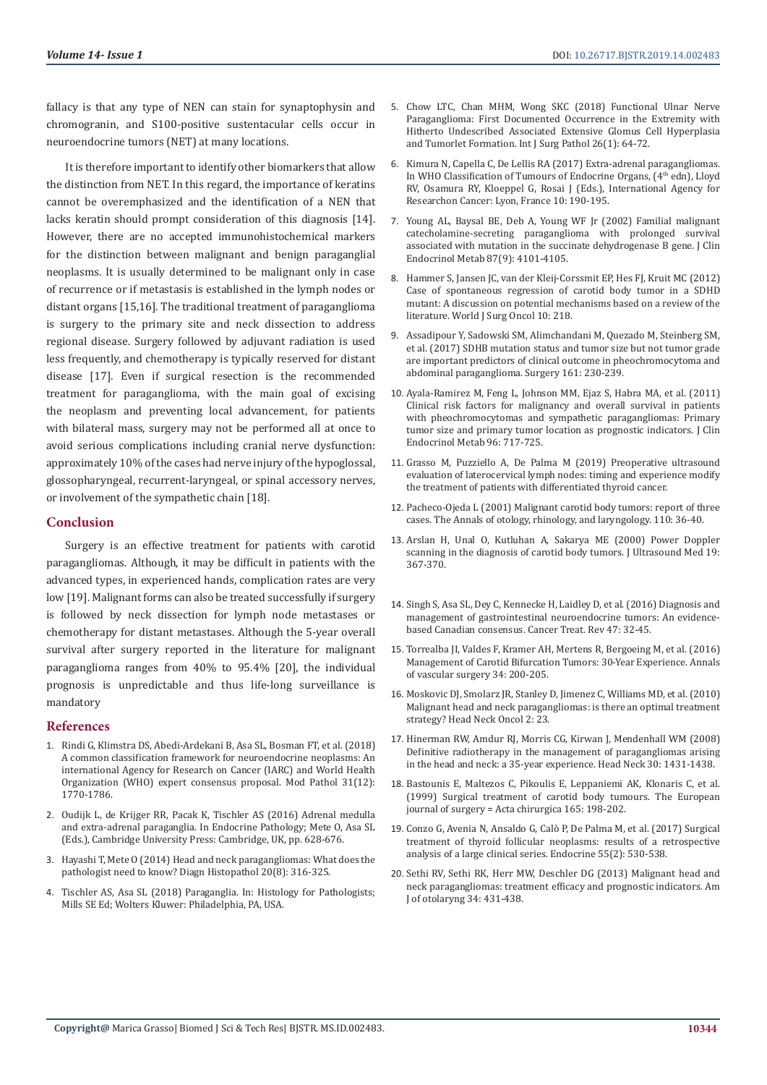fallacy is that any type of NEN can stain for synaptophysin and chromogranin, and S100-positive sustentacular cells occur in neuroendocrine tumors (NET) at many locations.

It is therefore important to identify other biomarkers that allow the distinction from NET. In this regard, the importance of keratins cannot be overemphasized and the identification of a NEN that lacks keratin should prompt consideration of this diagnosis [14]. However, there are no accepted immunohistochemical markers for the distinction between malignant and benign paraganglial neoplasms. It is usually determined to be malignant only in case of recurrence or if metastasis is established in the lymph nodes or distant organs [15,16]. The traditional treatment of paraganglioma is surgery to the primary site and neck dissection to address regional disease. Surgery followed by adjuvant radiation is used less frequently, and chemotherapy is typically reserved for distant disease [17]. Even if surgical resection is the recommended treatment for paraganglioma, with the main goal of excising the neoplasm and preventing local advancement, for patients with bilateral mass, surgery may not be performed all at once to avoid serious complications including cranial nerve dysfunction: approximately 10% of the cases had nerve injury of the hypoglossal, glossopharyngeal, recurrent-laryngeal, or spinal accessory nerves, or involvement of the sympathetic chain [18].

#### **Conclusion**

Surgery is an effective treatment for patients with carotid paragangliomas. Although, it may be difficult in patients with the advanced types, in experienced hands, complication rates are very low [19]. Malignant forms can also be treated successfully if surgery is followed by neck dissection for lymph node metastases or chemotherapy for distant metastases. Although the 5-year overall survival after surgery reported in the literature for malignant paraganglioma ranges from 40% to 95.4% [20], the individual prognosis is unpredictable and thus life-long surveillance is mandatory

#### **References**

- 1. [Rindi G, Klimstra DS, Abedi-Ardekani B, Asa SL, Bosman FT, et al. \(2018\)](https://www.ncbi.nlm.nih.gov/pubmed/30140036)  [A common classification framework for neuroendocrine neoplasms: An](https://www.ncbi.nlm.nih.gov/pubmed/30140036)  [international Agency for Research on Cancer \(IARC\) and World Health](https://www.ncbi.nlm.nih.gov/pubmed/30140036)  [Organization \(WHO\) expert consensus proposal. Mod Pathol 31\(12\):](https://www.ncbi.nlm.nih.gov/pubmed/30140036)  [1770-1786.](https://www.ncbi.nlm.nih.gov/pubmed/30140036)
- 2. [Oudijk L, de Krijger RR, Pacak K, Tischler AS \(2016\) Adrenal medulla](https://www.cambridge.org/core/books/endocrine-pathology/adrenal-medulla-and-extraadrenal-paraganglia/A6CA8D651DEBEFE857FD5D785BF96640)  [and extra-adrenal paraganglia. In Endocrine Pathology; Mete O, Asa SL](https://www.cambridge.org/core/books/endocrine-pathology/adrenal-medulla-and-extraadrenal-paraganglia/A6CA8D651DEBEFE857FD5D785BF96640)  [\(Eds.\), Cambridge University Press: Cambridge, UK, pp. 628-676.](https://www.cambridge.org/core/books/endocrine-pathology/adrenal-medulla-and-extraadrenal-paraganglia/A6CA8D651DEBEFE857FD5D785BF96640)
- 3. [Hayashi T, Mete O \(2014\) Head and neck paragangliomas: What does the](https://www.sciencedirect.com/science/article/pii/S1756231714001066)  [pathologist need to know? Diagn Histopathol 20\(8\): 316-325.](https://www.sciencedirect.com/science/article/pii/S1756231714001066)
- 4. Tischler AS, Asa SL (2018) Paraganglia. In: Histology for Pathologists; Mills SE Ed; Wolters Kluwer: Philadelphia, PA, USA.
- 5. [Chow LTC, Chan MHM, Wong SKC \(2018\) Functional Ulnar Nerve](https://www.ncbi.nlm.nih.gov/pubmed/28697655) [Paraganglioma: First Documented Occurrence in the Extremity with](https://www.ncbi.nlm.nih.gov/pubmed/28697655) [Hitherto Undescribed Associated Extensive Glomus Cell Hyperplasia](https://www.ncbi.nlm.nih.gov/pubmed/28697655) [and Tumorlet Formation. Int J Surg Pathol 26\(1\): 64-72.](https://www.ncbi.nlm.nih.gov/pubmed/28697655)
- 6. Kimura N, Capella C, De Lellis RA (2017) Extra-adrenal paragangliomas. In WHO Classification of Tumours of Endocrine Organs, (4<sup>th</sup> edn), Lloyd RV, Osamura RY, Kloeppel G, Rosai J (Eds.), International Agency for Researchon Cancer: Lyon, France 10: 190-195.
- 7. [Young AL, Baysal BE, Deb A, Young WF Jr \(2002\) Familial malignant](https://www.ncbi.nlm.nih.gov/pubmed/12213855) [catecholamine-secreting paraganglioma with prolonged survival](https://www.ncbi.nlm.nih.gov/pubmed/12213855) [associated with mutation in the succinate dehydrogenase B gene. J Clin](https://www.ncbi.nlm.nih.gov/pubmed/12213855) [Endocrinol Metab 87\(9\): 4101-4105.](https://www.ncbi.nlm.nih.gov/pubmed/12213855)
- 8. [Hammer S, Jansen JC, van der Kleij-Corssmit EP, Hes FJ, Kruit MC \(2012\)](https://www.ncbi.nlm.nih.gov/pmc/articles/PMC3500722/) [Case of spontaneous regression of carotid body tumor in a SDHD](https://www.ncbi.nlm.nih.gov/pmc/articles/PMC3500722/) [mutant: A discussion on potential mechanisms based on a review of the](https://www.ncbi.nlm.nih.gov/pmc/articles/PMC3500722/) [literature. World J Surg Oncol 10: 218.](https://www.ncbi.nlm.nih.gov/pmc/articles/PMC3500722/)
- 9. [Assadipour Y, Sadowski SM, Alimchandani M, Quezado M, Steinberg SM,](https://www.ncbi.nlm.nih.gov/pubmed/27839933) [et al. \(2017\) SDHB mutation status and tumor size but not tumor grade](https://www.ncbi.nlm.nih.gov/pubmed/27839933) [are important predictors of clinical outcome in pheochromocytoma and](https://www.ncbi.nlm.nih.gov/pubmed/27839933) [abdominal paraganglioma. Surgery 161: 230-239.](https://www.ncbi.nlm.nih.gov/pubmed/27839933)
- 10. [Ayala-Ramirez M, Feng L, Johnson MM, Ejaz S, Habra MA, et al. \(2011\)](https://www.ncbi.nlm.nih.gov/pubmed/21190975) [Clinical risk factors for malignancy and overall survival in patients](https://www.ncbi.nlm.nih.gov/pubmed/21190975) [with pheochromocytomas and sympathetic paragangliomas: Primary](https://www.ncbi.nlm.nih.gov/pubmed/21190975) [tumor size and primary tumor location as prognostic indicators. J Clin](https://www.ncbi.nlm.nih.gov/pubmed/21190975) [Endocrinol Metab 96: 717-725.](https://www.ncbi.nlm.nih.gov/pubmed/21190975)
- 11. [Grasso M, Puzziello A, De Palma M \(2019\) Preoperative ultrasound](https://www.ncbi.nlm.nih.gov/pubmed/30604043) [evaluation of laterocervical lymph nodes: timing and experience modify](https://www.ncbi.nlm.nih.gov/pubmed/30604043) [the treatment of patients with differentiated thyroid cancer.](https://www.ncbi.nlm.nih.gov/pubmed/30604043)
- 12. [Pacheco-Ojeda L \(2001\) Malignant carotid body tumors: report of three](https://journals.sagepub.com/doi/10.1177/000348940111000107) [cases. The Annals of otology, rhinology, and laryngology. 110: 36-40.](https://journals.sagepub.com/doi/10.1177/000348940111000107)
- 13. [Arslan H, Unal O, Kutluhan A, Sakarya ME \(2000\) Power Doppler](https://www.ncbi.nlm.nih.gov/pubmed/10841056) [scanning in the diagnosis of carotid body tumors. J Ultrasound Med 19:](https://www.ncbi.nlm.nih.gov/pubmed/10841056) [367-370.](https://www.ncbi.nlm.nih.gov/pubmed/10841056)
- 14. [Singh S, Asa SL, Dey C, Kennecke H, Laidley D, et al. \(2016\) Diagnosis and](https://www.ncbi.nlm.nih.gov/pubmed/27236421) [management of gastrointestinal neuroendocrine tumors: An evidence](https://www.ncbi.nlm.nih.gov/pubmed/27236421)[based Canadian consensus. Cancer Treat. Rev 47: 32-45.](https://www.ncbi.nlm.nih.gov/pubmed/27236421)
- 15. [Torrealba JI, Valdes F, Kramer AH, Mertens R, Bergoeing M, et al. \(2016\)](https://www.ncbi.nlm.nih.gov/pubmed/27179981) [Management of Carotid Bifurcation Tumors: 30-Year Experience. Annals](https://www.ncbi.nlm.nih.gov/pubmed/27179981) [of vascular surgery 34: 200-205.](https://www.ncbi.nlm.nih.gov/pubmed/27179981)
- 16. [Moskovic DJ, Smolarz JR, Stanley D, Jimenez C, Williams MD, et al. \(2010\)](https://www.ncbi.nlm.nih.gov/pubmed/20863367) [Malignant head and neck paragangliomas: is there an optimal treatment](https://www.ncbi.nlm.nih.gov/pubmed/20863367) [strategy? Head Neck Oncol 2: 23.](https://www.ncbi.nlm.nih.gov/pubmed/20863367)
- 17. [Hinerman RW, Amdur RJ, Morris CG, Kirwan J, Mendenhall WM \(2008\)](https://www.ncbi.nlm.nih.gov/pubmed/18704974) [Definitive radiotherapy in the management of paragangliomas arising](https://www.ncbi.nlm.nih.gov/pubmed/18704974) [in the head and neck: a 35-year experience. Head Neck 30: 1431-1438.](https://www.ncbi.nlm.nih.gov/pubmed/18704974)
- 18. [Bastounis E, Maltezos C, Pikoulis E, Leppaniemi AK, Klonaris C, et al.](https://www.ncbi.nlm.nih.gov/pubmed/10231651) [\(1999\) Surgical treatment of carotid body tumours. The European](https://www.ncbi.nlm.nih.gov/pubmed/10231651) [journal of surgery = Acta chirurgica 165: 198-202.](https://www.ncbi.nlm.nih.gov/pubmed/10231651)
- 19. [Conzo G, Avenia N, Ansaldo G, Calò P, De Palma M, et al. \(2017\) Surgical](https://www.ncbi.nlm.nih.gov/pubmed/27075721) [treatment of thyroid follicular neoplasms: results of a retrospective](https://www.ncbi.nlm.nih.gov/pubmed/27075721) [analysis of a large clinical series. Endocrine 55\(2\): 530-538.](https://www.ncbi.nlm.nih.gov/pubmed/27075721)
- 20. [Sethi RV, Sethi RK, Herr MW, Deschler DG \(2013\) Malignant head and](https://www.ncbi.nlm.nih.gov/pubmed/23642313) [neck paragangliomas: treatment efficacy and prognostic indicators. Am](https://www.ncbi.nlm.nih.gov/pubmed/23642313) [J of otolaryng 34: 431-438.](https://www.ncbi.nlm.nih.gov/pubmed/23642313)